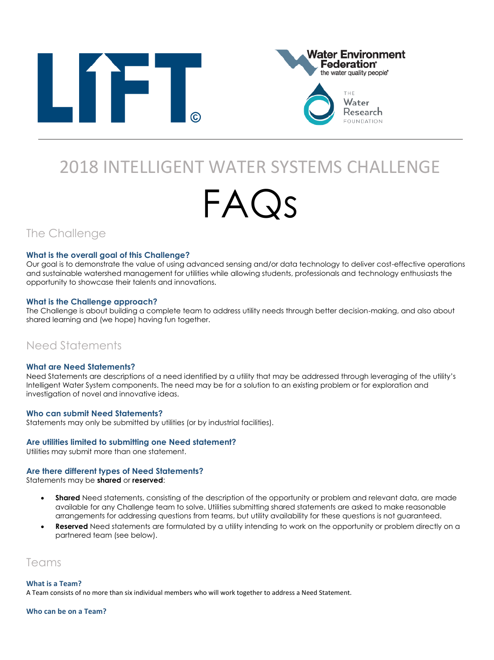



# 2018 INTELLIGENT WATER SYSTEMS CHALLENGE

# FAQs

The Challenge

#### **What is the overall goal of this Challenge?**

Our goal is to demonstrate the value of using advanced sensing and/or data technology to deliver cost-effective operations and sustainable watershed management for utilities while allowing students, professionals and technology enthusiasts the opportunity to showcase their talents and innovations.

#### **What is the Challenge approach?**

The Challenge is about building a complete team to address utility needs through better decision-making, and also about shared learning and (we hope) having fun together.

# Need Statements

#### **What are Need Statements?**

Need Statements are descriptions of a need identified by a utility that may be addressed through leveraging of the utility's Intelligent Water System components. The need may be for a solution to an existing problem or for exploration and investigation of novel and innovative ideas.

#### **Who can submit Need Statements?**

Statements may only be submitted by utilities (or by industrial facilities).

#### **Are utilities limited to submitting one Need statement?**

Utilities may submit more than one statement.

#### **Are there different types of Need Statements?**

Statements may be **shared** or **reserved**:

- **Shared** Need statements, consisting of the description of the opportunity or problem and relevant data, are made available for any Challenge team to solve. Utilities submitting shared statements are asked to make reasonable arrangements for addressing questions from teams, but utility availability for these questions is not guaranteed.
- **Reserved** Need statements are formulated by a utility intending to work on the opportunity or problem directly on a partnered team (see below).

# Teams

#### **What is a Team?**

A Team consists of no more than six individual members who will work together to address a Need Statement.

#### **Who can be on a Team?**